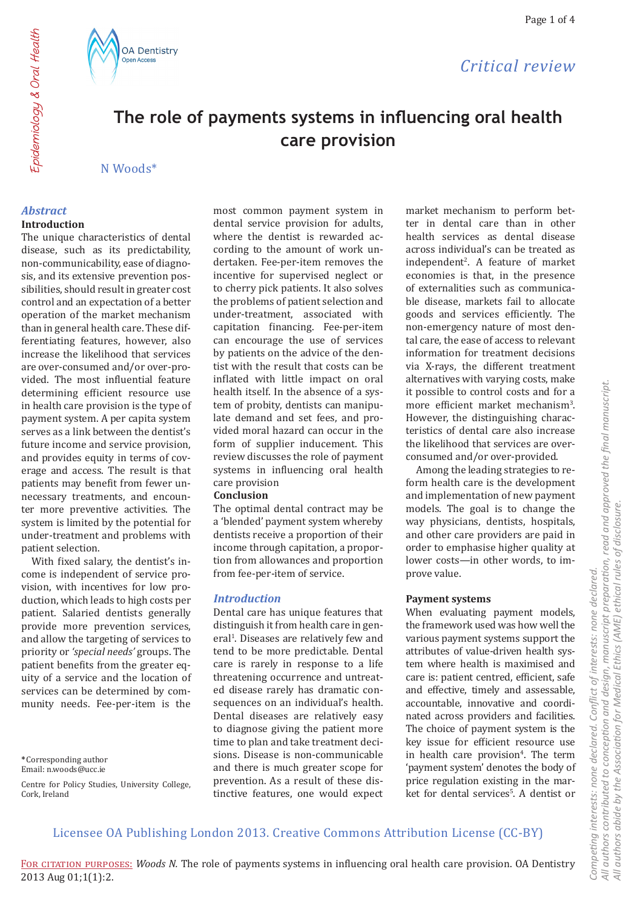## *Critical review*

# **The role of payments systems in influencing oral health care provision**

### N Woods\*

### *Abstract*

#### **Introduction**

The unique characteristics of dental disease, such as its predictability, non-communicability, ease of diagnosis, and its extensive prevention possibilities, should result in greater cost control and an expectation of a better operation of the market mechanism than in general health care. These differentiating features, however, also increase the likelihood that services are over-consumed and/or over-provided. The most influential feature determining efficient resource use in health care provision is the type of payment system. A per capita system serves as a link between the dentist's future income and service provision, and provides equity in terms of coverage and access. The result is that patients may benefit from fewer unnecessary treatments, and encounter more preventive activities. The system is limited by the potential for under-treatment and problems with patient selection.

With fixed salary, the dentist's income is independent of service provision, with incentives for low production, which leads to high costs per patient. Salaried dentists generally provide more prevention services, and allow the targeting of services to priority or *'special needs'* groups. The patient benefits from the greater equity of a service and the location of services can be determined by community needs. Fee-per-item is the

**\***Corresponding author Email: n.woods@ucc.ie

Centre for Policy Studies, University College, Cork, Ireland

most common payment system in dental service provision for adults, where the dentist is rewarded according to the amount of work undertaken. Fee-per-item removes the incentive for supervised neglect or to cherry pick patients. It also solves the problems of patient selection and under-treatment, associated with capitation financing. Fee-per-item can encourage the use of services by patients on the advice of the dentist with the result that costs can be inflated with little impact on oral health itself. In the absence of a system of probity, dentists can manipulate demand and set fees, and provided moral hazard can occur in the form of supplier inducement. This review discusses the role of payment systems in influencing oral health care provision

#### **Conclusion**

The optimal dental contract may be a 'blended' payment system whereby dentists receive a proportion of their income through capitation, a proportion from allowances and proportion from fee-per-item of service.

### *Introduction*

Dental care has unique features that distinguish it from health care in general<sup>1</sup>. Diseases are relatively few and tend to be more predictable. Dental care is rarely in response to a life threatening occurrence and untreated disease rarely has dramatic consequences on an individual's health. Dental diseases are relatively easy to diagnose giving the patient more time to plan and take treatment decisions. Disease is non-communicable and there is much greater scope for prevention. As a result of these distinctive features, one would expect

market mechanism to perform better in dental care than in other health services as dental disease across individual's can be treated as independent2 . A feature of market economies is that, in the presence of externalities such as communicable disease, markets fail to allocate goods and services efficiently. The non-emergency nature of most dental care, the ease of access to relevant information for treatment decisions via X-rays, the different treatment alternatives with varying costs, make it possible to control costs and for a more efficient market mechanism<sup>3</sup>. However, the distinguishing characteristics of dental care also increase the likelihood that services are overconsumed and/or over-provided.

Among the leading strategies to reform health care is the development and implementation of new payment models. The goal is to change the way physicians, dentists, hospitals, and other care providers are paid in order to emphasise higher quality at lower costs—in other words, to improve value.

### **Payment systems**

When evaluating payment models, the framework used was how well the various payment systems support the attributes of value-driven health system where health is maximised and care is: patient centred, efficient, safe and effective, timely and assessable, accountable, innovative and coordinated across providers and facilities. The choice of payment system is the key issue for efficient resource use in health care provision<sup>4</sup>. The term 'payment system' denotes the body of price regulation existing in the market for dental services<sup>5</sup>. A dentist or

## Licensee OA Publishing London 2013. Creative Commons Attribution License (CC-BY)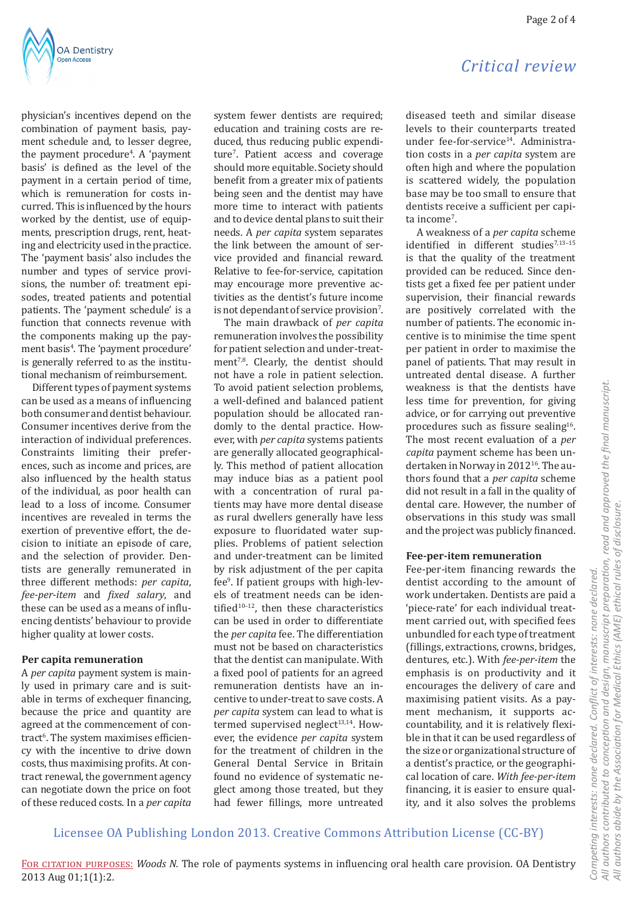

physician's incentives depend on the combination of payment basis, payment schedule and, to lesser degree, the payment procedure<sup>4</sup>. A 'payment basis' is defined as the level of the payment in a certain period of time, which is remuneration for costs incurred. This is influenced by the hours worked by the dentist, use of equipments, prescription drugs, rent, heating and electricity used in the practice. The 'payment basis' also includes the number and types of service provisions, the number of: treatment episodes, treated patients and potential patients. The 'payment schedule' is a function that connects revenue with the components making up the payment basis4 . The 'payment procedure' is generally referred to as the institutional mechanism of reimbursement.

Different types of payment systems can be used as a means of influencing both consumer and dentist behaviour. Consumer incentives derive from the interaction of individual preferences. Constraints limiting their preferences, such as income and prices, are also influenced by the health status of the individual, as poor health can lead to a loss of income. Consumer incentives are revealed in terms the exertion of preventive effort, the decision to initiate an episode of care, and the selection of provider. Dentists are generally remunerated in three different methods: *per capita*, *fee-per-item* and *fixed salary*, and these can be used as a means of influencing dentists' behaviour to provide higher quality at lower costs.

#### **Per capita remuneration**

A *per capita* payment system is mainly used in primary care and is suitable in terms of exchequer financing, because the price and quantity are agreed at the commencement of contract<sup>6</sup>. The system maximises efficiency with the incentive to drive down costs, thus maximising profits. At contract renewal, the government agency can negotiate down the price on foot of these reduced costs. In a *per capita*  system fewer dentists are required; education and training costs are reduced, thus reducing public expenditure<sup>7</sup>. Patient access and coverage should more equitable. Society should benefit from a greater mix of patients being seen and the dentist may have more time to interact with patients and to device dental plans to suit their needs. A *per capita* system separates the link between the amount of service provided and financial reward. Relative to fee-for-service, capitation may encourage more preventive activities as the dentist's future income is not dependant of service provision $^{\prime}$ .

The main drawback of *per capita* remuneration involves the possibility for patient selection and under-treatment<sup>7,8</sup>. Clearly, the dentist should not have a role in patient selection. To avoid patient selection problems, a well-defined and balanced patient population should be allocated randomly to the dental practice. However, with *per capita* systems patients are generally allocated geographically. This method of patient allocation may induce bias as a patient pool with a concentration of rural patients may have more dental disease as rural dwellers generally have less exposure to fluoridated water supplies. Problems of patient selection and under-treatment can be limited by risk adjustment of the per capita fee<sup>9</sup> . If patient groups with high-levels of treatment needs can be identified $10-12$ , then these characteristics can be used in order to differentiate the *per capita* fee. The differentiation must not be based on characteristics that the dentist can manipulate. With a fixed pool of patients for an agreed remuneration dentists have an incentive to under-treat to save costs. A *per capita* system can lead to what is termed supervised neglect $13,14$ . However, the evidence *per capita* system for the treatment of children in the General Dental Service in Britain found no evidence of systematic neglect among those treated, but they had fewer fillings, more untreated

## *Critical review*

diseased teeth and similar disease levels to their counterparts treated under fee-for-service<sup>14</sup>. Administration costs in a *per capita* system are often high and where the population is scattered widely, the population base may be too small to ensure that dentists receive a sufficient per capita income<sup>7</sup>.

A weakness of a *per capita* scheme identified in different studies<sup>7,13-15</sup> is that the quality of the treatment provided can be reduced. Since dentists get a fixed fee per patient under supervision, their financial rewards are positively correlated with the number of patients. The economic incentive is to minimise the time spent per patient in order to maximise the panel of patients. That may result in untreated dental disease. A further weakness is that the dentists have less time for prevention, for giving advice, or for carrying out preventive procedures such as fissure sealing<sup>16</sup>. The most recent evaluation of a *per capita* payment scheme has been undertaken in Norway in 2012<sup>16</sup>. The authors found that a *per capita* scheme did not result in a fall in the quality of dental care. However, the number of observations in this study was small and the project was publicly financed.

### **Fee-per-item remuneration**

Fee-per-item financing rewards the dentist according to the amount of work undertaken. Dentists are paid a 'piece-rate' for each individual treatment carried out, with specified fees unbundled for each type of treatment (fillings, extractions, crowns, bridges, dentures, etc.). With *fee-per-item* the emphasis is on productivity and it encourages the delivery of care and maximising patient visits. As a payment mechanism, it supports accountability, and it is relatively flexible in that it can be used regardless of the size or organizational structure of a dentist's practice, or the geographical location of care. *With fee-per-item* financing, it is easier to ensure quality, and it also solves the problems

Licensee OA Publishing London 2013. Creative Commons Attribution License (CC-BY)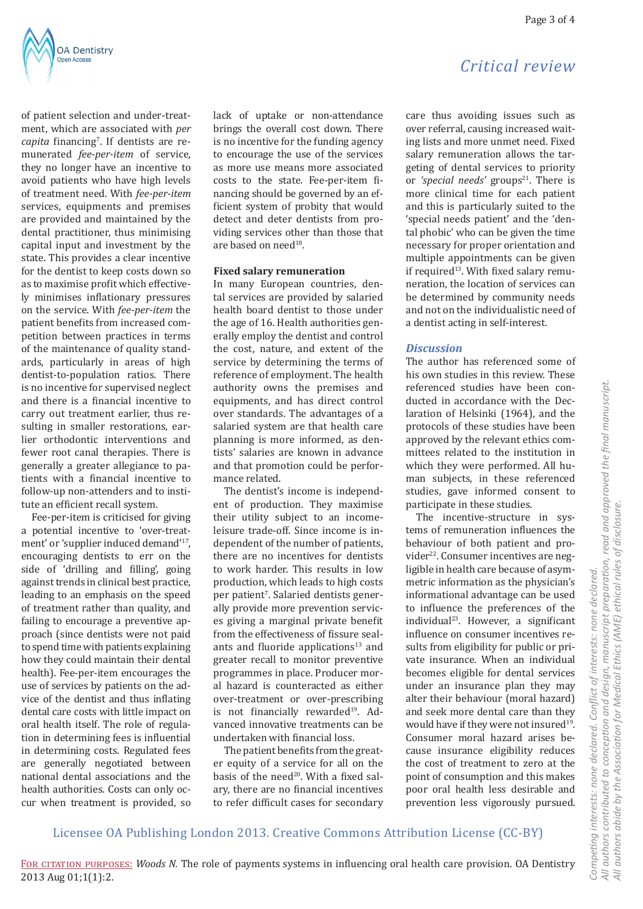of patient selection and under-treatment, which are associated with *per capita* financing<sup>7</sup> . If dentists are remunerated *fee-per-item* of service, they no longer have an incentive to avoid patients who have high levels of treatment need. With *fee-per-item* services, equipments and premises are provided and maintained by the dental practitioner, thus minimising capital input and investment by the state. This provides a clear incentive for the dentist to keep costs down so as to maximise profit which effectively minimises inflationary pressures on the service. With *fee-per-item* the patient benefits from increased competition between practices in terms of the maintenance of quality standards, particularly in areas of high dentist-to-population ratios. There is no incentive for supervised neglect and there is a financial incentive to carry out treatment earlier, thus resulting in smaller restorations, earlier orthodontic interventions and fewer root canal therapies. There is generally a greater allegiance to patients with a financial incentive to follow-up non-attenders and to institute an efficient recall system.

Fee-per-item is criticised for giving a potential incentive to 'over-treatment' or 'supplier induced demand'17, encouraging dentists to err on the side of 'drilling and filling', going against trends in clinical best practice, leading to an emphasis on the speed of treatment rather than quality, and failing to encourage a preventive approach (since dentists were not paid to spend time with patients explaining how they could maintain their dental health). Fee-per-item encourages the use of services by patients on the advice of the dentist and thus inflating dental care costs with little impact on oral health itself. The role of regulation in determining fees is influential in determining costs. Regulated fees are generally negotiated between national dental associations and the health authorities. Costs can only occur when treatment is provided, so lack of uptake or non-attendance brings the overall cost down. There is no incentive for the funding agency to encourage the use of the services as more use means more associated costs to the state. Fee-per-item financing should be governed by an efficient system of probity that would detect and deter dentists from providing services other than those that are based on need<sup>18</sup>.

#### **Fixed salary remuneration**

In many European countries, dental services are provided by salaried health board dentist to those under the age of 16. Health authorities generally employ the dentist and control the cost, nature, and extent of the service by determining the terms of reference of employment. The health authority owns the premises and equipments, and has direct control over standards. The advantages of a salaried system are that health care planning is more informed, as dentists' salaries are known in advance and that promotion could be performance related.

The dentist's income is independent of production. They maximise their utility subject to an incomeleisure trade-off. Since income is independent of the number of patients, there are no incentives for dentists to work harder. This results in low production, which leads to high costs per patient<sup>7</sup>. Salaried dentists generally provide more prevention services giving a marginal private benefit from the effectiveness of fissure sealants and fluoride applications $13$  and greater recall to monitor preventive programmes in place. Producer moral hazard is counteracted as either over-treatment or over-prescribing is not financially rewarded<sup>19</sup>. Advanced innovative treatments can be undertaken with financial loss.

The patient benefits from the greater equity of a service for all on the basis of the need<sup>20</sup>. With a fixed salary, there are no financial incentives to refer difficult cases for secondary

## *Critical review*

care thus avoiding issues such as over referral, causing increased waiting lists and more unmet need. Fixed salary remuneration allows the targeting of dental services to priority or 'special needs' groups<sup>21</sup>. There is more clinical time for each patient and this is particularly suited to the 'special needs patient' and the 'dental phobic' who can be given the time necessary for proper orientation and multiple appointments can be given if required<sup>13</sup>. With fixed salary remuneration, the location of services can be determined by community needs and not on the individualistic need of a dentist acting in self-interest.

#### *Discussion*

The author has referenced some of his own studies in this review. These referenced studies have been conducted in accordance with the Declaration of Helsinki (1964), and the protocols of these studies have been approved by the relevant ethics committees related to the institution in which they were performed. All human subjects, in these referenced studies, gave informed consent to participate in these studies.

The incentive-structure in systems of remuneration influences the behaviour of both patient and provider<sup>22</sup>. Consumer incentives are negligible in health care because of asymmetric information as the physician's informational advantage can be used to influence the preferences of the individual23. However, a significant influence on consumer incentives results from eligibility for public or private insurance. When an individual becomes eligible for dental services under an insurance plan they may alter their behaviour (moral hazard) and seek more dental care than they would have if they were not insured<sup>19</sup>. Consumer moral hazard arises because insurance eligibility reduces the cost of treatment to zero at the point of consumption and this makes poor oral health less desirable and prevention less vigorously pursued.

Competing interests: none